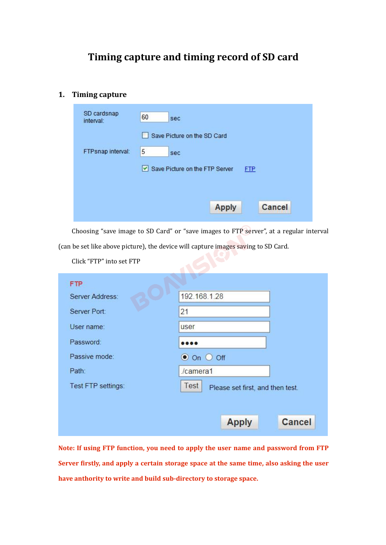# **Timing capture and timing record of SD card**

|    |                          | Timing capture and timing record of SD card                                            |
|----|--------------------------|----------------------------------------------------------------------------------------|
|    |                          |                                                                                        |
| 1. | <b>Timing capture</b>    |                                                                                        |
|    | SD cardsnap              |                                                                                        |
|    | interval:                | 60<br>sec                                                                              |
|    |                          | Save Picture on the SD Card                                                            |
|    | FTPsnap interval:        | 5<br>sec                                                                               |
|    |                          | Save Picture on the FTP Server<br><b>FTP</b>                                           |
|    |                          |                                                                                        |
|    |                          |                                                                                        |
|    |                          | <b>Apply</b><br>Cancel                                                                 |
|    |                          | Choosing "save image to SD Card" or "save images to FTP server", at a regular interval |
|    |                          | (can be set like above picture), the device will capture images saving to SD Card.     |
|    | Click "FTP" into set FTP |                                                                                        |
|    | <b>FTP</b>               |                                                                                        |
|    | Server Address:          | 192.168.1.28                                                                           |
|    |                          |                                                                                        |

|                                                                                          | <b>Apply</b>                             | Cancel        |
|------------------------------------------------------------------------------------------|------------------------------------------|---------------|
| Choosing "save image to SD Card" or "save images to FTP server", at a regular interval   |                                          |               |
| (can be set like above picture), the device will capture images saving to SD Card.       |                                          |               |
| Click "FTP" into set FTP                                                                 |                                          |               |
| <b>FTP</b>                                                                               |                                          |               |
| Server Address:                                                                          | 192.168.1.28                             |               |
| Server Port:                                                                             | 21                                       |               |
| User name:                                                                               | user                                     |               |
| Password:                                                                                |                                          |               |
| Passive mode:                                                                            | $\bullet$ On $\circ$ Off                 |               |
| Path:                                                                                    | /camera1                                 |               |
| Test FTP settings:                                                                       | Test<br>Please set first, and then test. |               |
|                                                                                          |                                          |               |
|                                                                                          | <b>Apply</b>                             | <b>Cancel</b> |
|                                                                                          |                                          |               |
| Note: If using FTP function, you need to apply the user name and password from FTP       |                                          |               |
| Server firstly, and apply a certain storage space at the same time, also asking the user |                                          |               |
| have anthority to write and build sub-directory to storage space.                        |                                          |               |
|                                                                                          |                                          |               |
|                                                                                          |                                          |               |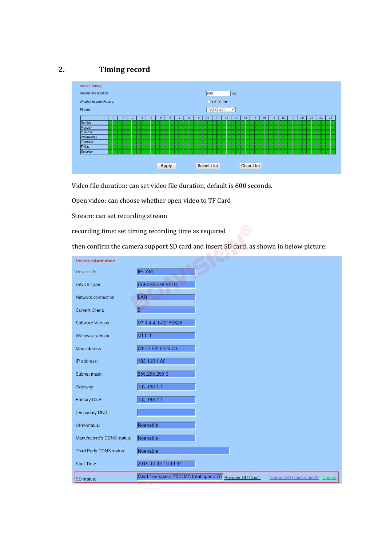

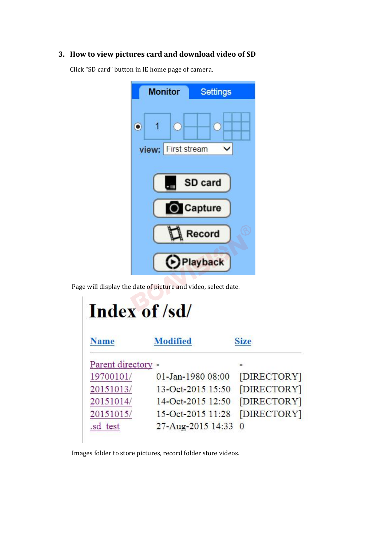

|                    | Page will display the date of picture and video, select date.<br>Index of /sd/ |                                   |
|--------------------|--------------------------------------------------------------------------------|-----------------------------------|
| <b>Name</b>        | <b>Modified</b>                                                                | <b>Size</b>                       |
| Parent directory - |                                                                                |                                   |
| 19700101/          | 01-Jan-1980 08:00                                                              | [DIRECTORY]                       |
| 20151013/          | 13-Oct-2015 15:50                                                              | [DIRECTORY]                       |
| 20151014/          | 14-Oct-2015 12:50                                                              | [DIRECTORY]                       |
|                    | $15-Oct-2015$ $11:28$                                                          | [DIRECTORY]                       |
| 20151015/          |                                                                                | 27-Aug-2015 14:33<br>$\mathbf{0}$ |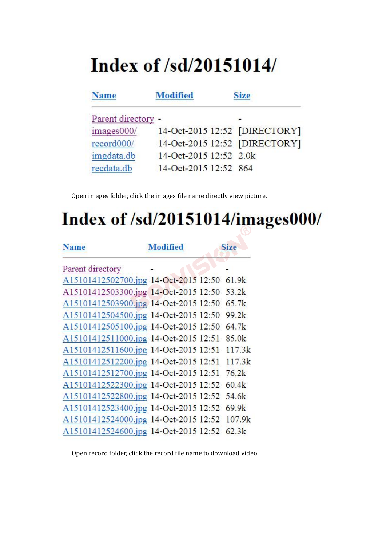# Index of /sd/20151014/

| <b>Name</b>        | <b>Modified</b>               | <b>Size</b> |
|--------------------|-------------------------------|-------------|
| Parent directory - |                               |             |
| images000/         | 14-Oct-2015 12:52 [DIRECTORY] |             |
| record000/         | 14-Oct-2015 12:52 [DIRECTORY] |             |
| imgdata.db         | 14-Oct-2015 12:52 2.0k        |             |
| recdata.db         | 14-Oct-2015 12:52 864         |             |

# Open images folder, click the images file name directly view picture.<br>
Index of /sd/20151014/images000/

| A15101412502700.jpg 14-Oct-2015 12:50 61.9k<br>A15101412503300.jpg 14-Oct-2015 12:50 53.2k<br>A15101412503900.jpg 14-Oct-2015 12:50<br>65.7k<br>A15101412504500.jpg 14-Oct-2015 12:50<br>99.2k<br>A15101412505100.jpg 14-Oct-2015 12:50<br>64.7k<br>A15101412511000.jpg 14-Oct-2015 12:51 85.0k<br>A15101412511600.jpg 14-Oct-2015 12:51 117.3k<br>A15101412512200.jpg 14-Oct-2015 12:51 117.3k<br>A15101412512700.jpg 14-Oct-2015 12:51<br>76.2k<br>A15101412522300.jpg 14-Oct-2015 12:52 60.4k<br>A15101412522800.jpg 14-Oct-2015 12:52<br>54.6k<br>A15101412523400.jpg 14-Oct-2015 12:52 69.9k<br>A15101412524000.jpg 14-Oct-2015 12:52 107.9k<br>A15101412524600.jpg 14-Oct-2015 12:52 62.3k | <b>Name</b>      | <b>Modified</b> | <b>Size</b> |
|--------------------------------------------------------------------------------------------------------------------------------------------------------------------------------------------------------------------------------------------------------------------------------------------------------------------------------------------------------------------------------------------------------------------------------------------------------------------------------------------------------------------------------------------------------------------------------------------------------------------------------------------------------------------------------------------------|------------------|-----------------|-------------|
|                                                                                                                                                                                                                                                                                                                                                                                                                                                                                                                                                                                                                                                                                                  | Parent directory |                 |             |
|                                                                                                                                                                                                                                                                                                                                                                                                                                                                                                                                                                                                                                                                                                  |                  |                 |             |
| Open record folder, click the record file name to download video.                                                                                                                                                                                                                                                                                                                                                                                                                                                                                                                                                                                                                                |                  |                 |             |
|                                                                                                                                                                                                                                                                                                                                                                                                                                                                                                                                                                                                                                                                                                  |                  |                 |             |
|                                                                                                                                                                                                                                                                                                                                                                                                                                                                                                                                                                                                                                                                                                  |                  |                 |             |
|                                                                                                                                                                                                                                                                                                                                                                                                                                                                                                                                                                                                                                                                                                  |                  |                 |             |
|                                                                                                                                                                                                                                                                                                                                                                                                                                                                                                                                                                                                                                                                                                  |                  |                 |             |
|                                                                                                                                                                                                                                                                                                                                                                                                                                                                                                                                                                                                                                                                                                  |                  |                 |             |
|                                                                                                                                                                                                                                                                                                                                                                                                                                                                                                                                                                                                                                                                                                  |                  |                 |             |
|                                                                                                                                                                                                                                                                                                                                                                                                                                                                                                                                                                                                                                                                                                  |                  |                 |             |
|                                                                                                                                                                                                                                                                                                                                                                                                                                                                                                                                                                                                                                                                                                  |                  |                 |             |
|                                                                                                                                                                                                                                                                                                                                                                                                                                                                                                                                                                                                                                                                                                  |                  |                 |             |
|                                                                                                                                                                                                                                                                                                                                                                                                                                                                                                                                                                                                                                                                                                  |                  |                 |             |
|                                                                                                                                                                                                                                                                                                                                                                                                                                                                                                                                                                                                                                                                                                  |                  |                 |             |
|                                                                                                                                                                                                                                                                                                                                                                                                                                                                                                                                                                                                                                                                                                  |                  |                 |             |
|                                                                                                                                                                                                                                                                                                                                                                                                                                                                                                                                                                                                                                                                                                  |                  |                 |             |